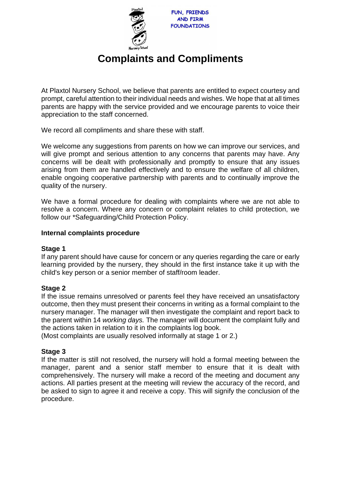

# **Complaints and Compliments**

At Plaxtol Nursery School, we believe that parents are entitled to expect courtesy and prompt, careful attention to their individual needs and wishes. We hope that at all times parents are happy with the service provided and we encourage parents to voice their appreciation to the staff concerned.

We record all compliments and share these with staff.

We welcome any suggestions from parents on how we can improve our services, and will give prompt and serious attention to any concerns that parents may have. Any concerns will be dealt with professionally and promptly to ensure that any issues arising from them are handled effectively and to ensure the welfare of all children, enable ongoing cooperative partnership with parents and to continually improve the quality of the nursery.

We have a formal procedure for dealing with complaints where we are not able to resolve a concern. Where any concern or complaint relates to child protection, we follow our \*Safeguarding/Child Protection Policy.

## **Internal complaints procedure**

### **Stage 1**

If any parent should have cause for concern or any queries regarding the care or early learning provided by the nursery, they should in the first instance take it up with the child's key person or a senior member of staff/room leader.

### **Stage 2**

If the issue remains unresolved or parents feel they have received an unsatisfactory outcome, then they must present their concerns in writing as a formal complaint to the nursery manager. The manager will then investigate the complaint and report back to the parent within 14 *working days.* The manager will document the complaint fully and the actions taken in relation to it in the complaints log book.

(Most complaints are usually resolved informally at stage 1 or 2.)

### **Stage 3**

If the matter is still not resolved, the nursery will hold a formal meeting between the manager, parent and a senior staff member to ensure that it is dealt with comprehensively. The nursery will make a record of the meeting and document any actions. All parties present at the meeting will review the accuracy of the record, and be asked to sign to agree it and receive a copy. This will signify the conclusion of the procedure.